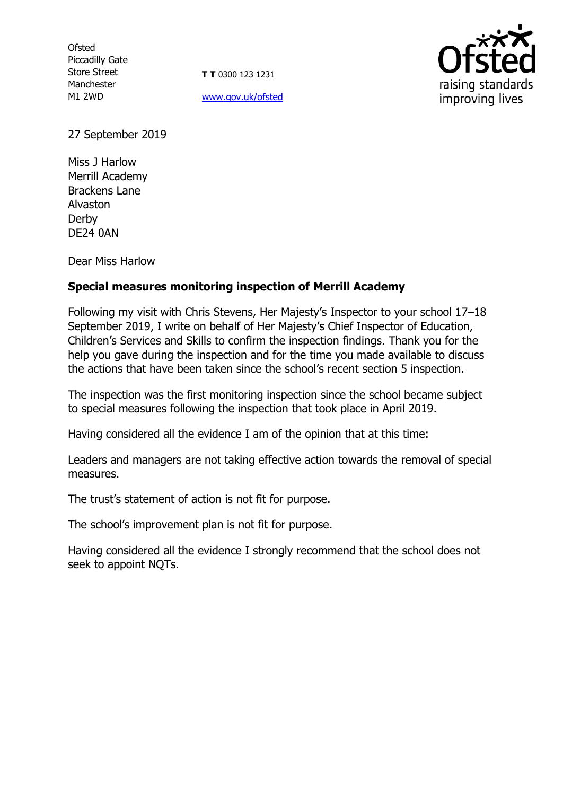**Ofsted** Piccadilly Gate Store Street Manchester M1 2WD

**T T** 0300 123 1231 [www.gov.uk/ofsted](http://www.gov.uk/ofsted)



27 September 2019

Miss J Harlow Merrill Academy Brackens Lane Alvaston Derby DE24 0AN

Dear Miss Harlow

# **Special measures monitoring inspection of Merrill Academy**

Following my visit with Chris Stevens, Her Majesty's Inspector to your school 17–18 September 2019, I write on behalf of Her Majesty's Chief Inspector of Education, Children's Services and Skills to confirm the inspection findings. Thank you for the help you gave during the inspection and for the time you made available to discuss the actions that have been taken since the school's recent section 5 inspection.

The inspection was the first monitoring inspection since the school became subject to special measures following the inspection that took place in April 2019.

Having considered all the evidence I am of the opinion that at this time:

Leaders and managers are not taking effective action towards the removal of special measures.

The trust's statement of action is not fit for purpose.

The school's improvement plan is not fit for purpose.

Having considered all the evidence I strongly recommend that the school does not seek to appoint NQTs.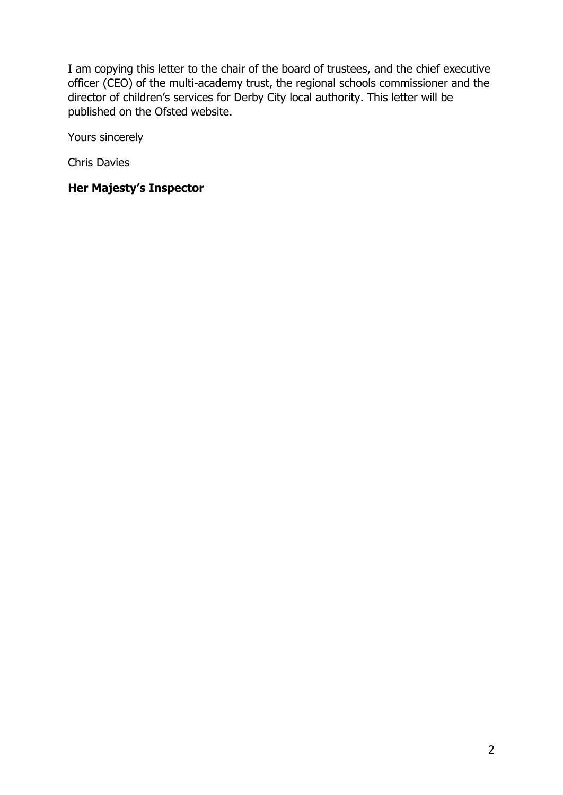I am copying this letter to the chair of the board of trustees, and the chief executive officer (CEO) of the multi-academy trust, the regional schools commissioner and the director of children's services for Derby City local authority. This letter will be published on the Ofsted website.

Yours sincerely

Chris Davies

# **Her Majesty's Inspector**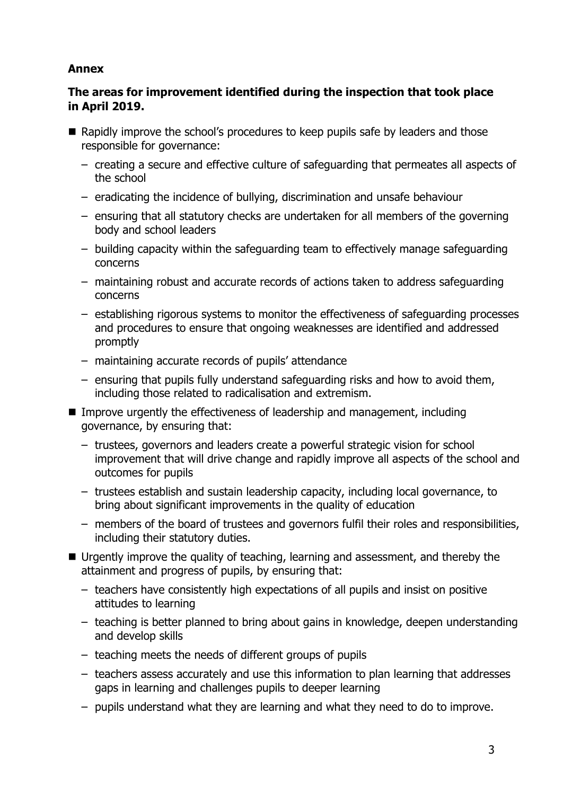# **Annex**

# **The areas for improvement identified during the inspection that took place in April 2019.**

- Rapidly improve the school's procedures to keep pupils safe by leaders and those responsible for governance:
	- creating a secure and effective culture of safeguarding that permeates all aspects of the school
	- eradicating the incidence of bullying, discrimination and unsafe behaviour
	- ensuring that all statutory checks are undertaken for all members of the governing body and school leaders
	- building capacity within the safeguarding team to effectively manage safeguarding concerns
	- maintaining robust and accurate records of actions taken to address safeguarding concerns
	- establishing rigorous systems to monitor the effectiveness of safeguarding processes and procedures to ensure that ongoing weaknesses are identified and addressed promptly
	- maintaining accurate records of pupils' attendance
	- ensuring that pupils fully understand safeguarding risks and how to avoid them, including those related to radicalisation and extremism.
- Improve urgently the effectiveness of leadership and management, including governance, by ensuring that:
	- trustees, governors and leaders create a powerful strategic vision for school improvement that will drive change and rapidly improve all aspects of the school and outcomes for pupils
	- trustees establish and sustain leadership capacity, including local governance, to bring about significant improvements in the quality of education
	- members of the board of trustees and governors fulfil their roles and responsibilities, including their statutory duties.
- Urgently improve the quality of teaching, learning and assessment, and thereby the attainment and progress of pupils, by ensuring that:
	- teachers have consistently high expectations of all pupils and insist on positive attitudes to learning
	- teaching is better planned to bring about gains in knowledge, deepen understanding and develop skills
	- teaching meets the needs of different groups of pupils
	- teachers assess accurately and use this information to plan learning that addresses gaps in learning and challenges pupils to deeper learning
	- pupils understand what they are learning and what they need to do to improve.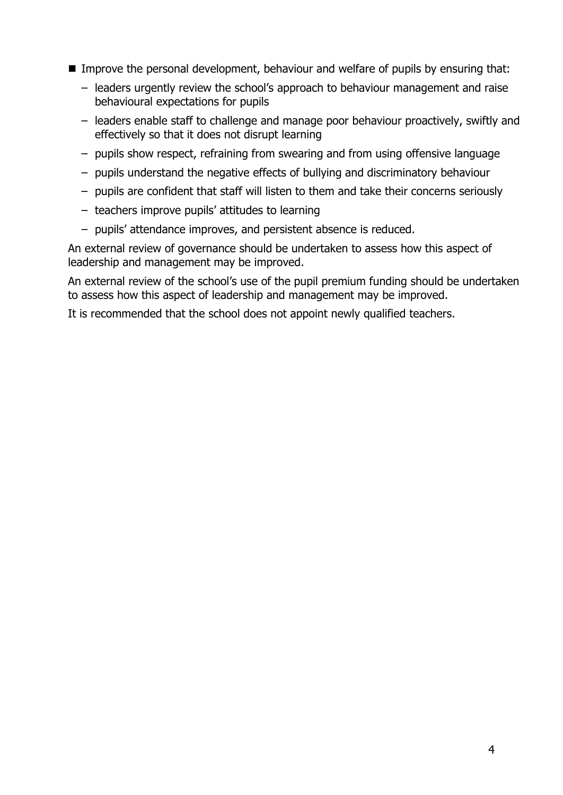- Improve the personal development, behaviour and welfare of pupils by ensuring that:
	- leaders urgently review the school's approach to behaviour management and raise behavioural expectations for pupils
	- leaders enable staff to challenge and manage poor behaviour proactively, swiftly and effectively so that it does not disrupt learning
	- pupils show respect, refraining from swearing and from using offensive language
	- pupils understand the negative effects of bullying and discriminatory behaviour
	- pupils are confident that staff will listen to them and take their concerns seriously
	- teachers improve pupils' attitudes to learning
	- pupils' attendance improves, and persistent absence is reduced.

An external review of governance should be undertaken to assess how this aspect of leadership and management may be improved.

An external review of the school's use of the pupil premium funding should be undertaken to assess how this aspect of leadership and management may be improved.

It is recommended that the school does not appoint newly qualified teachers.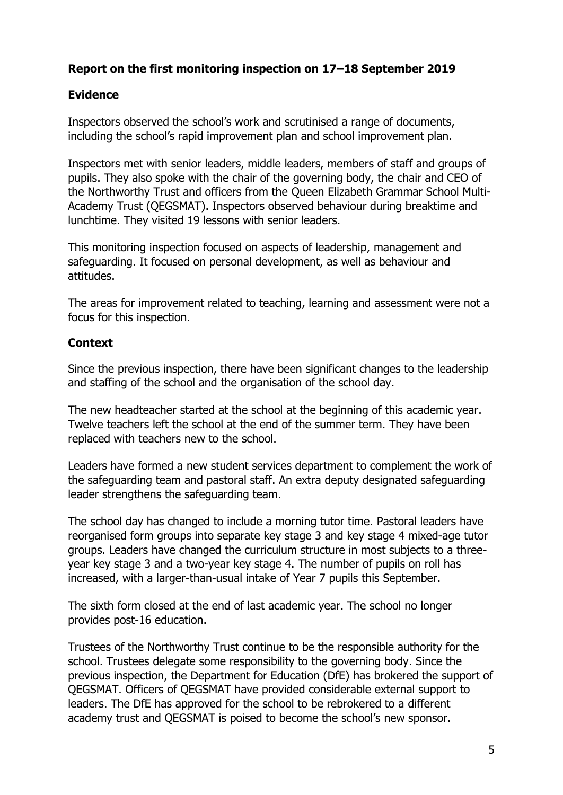# **Report on the first monitoring inspection on 17–18 September 2019**

## **Evidence**

Inspectors observed the school's work and scrutinised a range of documents, including the school's rapid improvement plan and school improvement plan.

Inspectors met with senior leaders, middle leaders, members of staff and groups of pupils. They also spoke with the chair of the governing body, the chair and CEO of the Northworthy Trust and officers from the Queen Elizabeth Grammar School Multi-Academy Trust (QEGSMAT). Inspectors observed behaviour during breaktime and lunchtime. They visited 19 lessons with senior leaders.

This monitoring inspection focused on aspects of leadership, management and safeguarding. It focused on personal development, as well as behaviour and attitudes.

The areas for improvement related to teaching, learning and assessment were not a focus for this inspection.

#### **Context**

Since the previous inspection, there have been significant changes to the leadership and staffing of the school and the organisation of the school day.

The new headteacher started at the school at the beginning of this academic year. Twelve teachers left the school at the end of the summer term. They have been replaced with teachers new to the school.

Leaders have formed a new student services department to complement the work of the safeguarding team and pastoral staff. An extra deputy designated safeguarding leader strengthens the safeguarding team.

The school day has changed to include a morning tutor time. Pastoral leaders have reorganised form groups into separate key stage 3 and key stage 4 mixed-age tutor groups. Leaders have changed the curriculum structure in most subjects to a threeyear key stage 3 and a two-year key stage 4. The number of pupils on roll has increased, with a larger-than-usual intake of Year 7 pupils this September.

The sixth form closed at the end of last academic year. The school no longer provides post-16 education.

Trustees of the Northworthy Trust continue to be the responsible authority for the school. Trustees delegate some responsibility to the governing body. Since the previous inspection, the Department for Education (DfE) has brokered the support of QEGSMAT. Officers of QEGSMAT have provided considerable external support to leaders. The DfE has approved for the school to be rebrokered to a different academy trust and QEGSMAT is poised to become the school's new sponsor.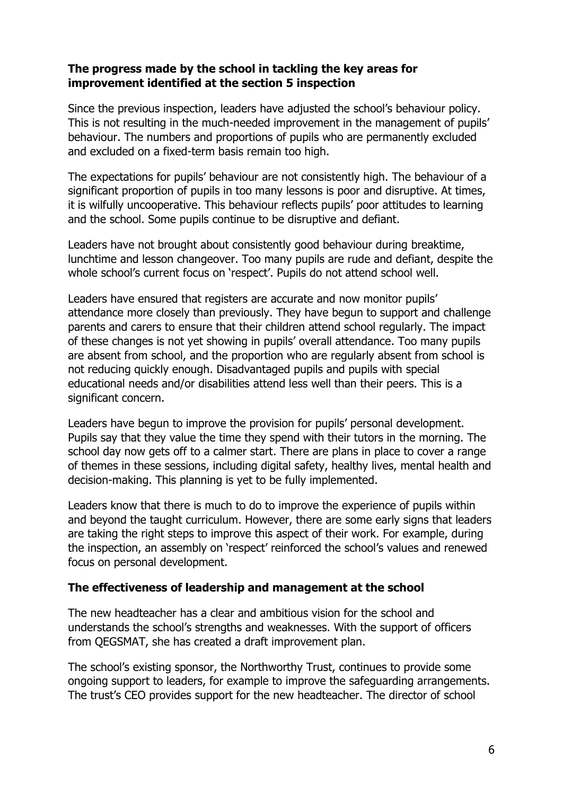## **The progress made by the school in tackling the key areas for improvement identified at the section 5 inspection**

Since the previous inspection, leaders have adjusted the school's behaviour policy. This is not resulting in the much-needed improvement in the management of pupils' behaviour. The numbers and proportions of pupils who are permanently excluded and excluded on a fixed-term basis remain too high.

The expectations for pupils' behaviour are not consistently high. The behaviour of a significant proportion of pupils in too many lessons is poor and disruptive. At times, it is wilfully uncooperative. This behaviour reflects pupils' poor attitudes to learning and the school. Some pupils continue to be disruptive and defiant.

Leaders have not brought about consistently good behaviour during breaktime, lunchtime and lesson changeover. Too many pupils are rude and defiant, despite the whole school's current focus on 'respect'. Pupils do not attend school well.

Leaders have ensured that registers are accurate and now monitor pupils' attendance more closely than previously. They have begun to support and challenge parents and carers to ensure that their children attend school regularly. The impact of these changes is not yet showing in pupils' overall attendance. Too many pupils are absent from school, and the proportion who are regularly absent from school is not reducing quickly enough. Disadvantaged pupils and pupils with special educational needs and/or disabilities attend less well than their peers. This is a significant concern.

Leaders have begun to improve the provision for pupils' personal development. Pupils say that they value the time they spend with their tutors in the morning. The school day now gets off to a calmer start. There are plans in place to cover a range of themes in these sessions, including digital safety, healthy lives, mental health and decision-making. This planning is yet to be fully implemented.

Leaders know that there is much to do to improve the experience of pupils within and beyond the taught curriculum. However, there are some early signs that leaders are taking the right steps to improve this aspect of their work. For example, during the inspection, an assembly on 'respect' reinforced the school's values and renewed focus on personal development.

# **The effectiveness of leadership and management at the school**

The new headteacher has a clear and ambitious vision for the school and understands the school's strengths and weaknesses. With the support of officers from QEGSMAT, she has created a draft improvement plan.

The school's existing sponsor, the Northworthy Trust, continues to provide some ongoing support to leaders, for example to improve the safeguarding arrangements. The trust's CEO provides support for the new headteacher. The director of school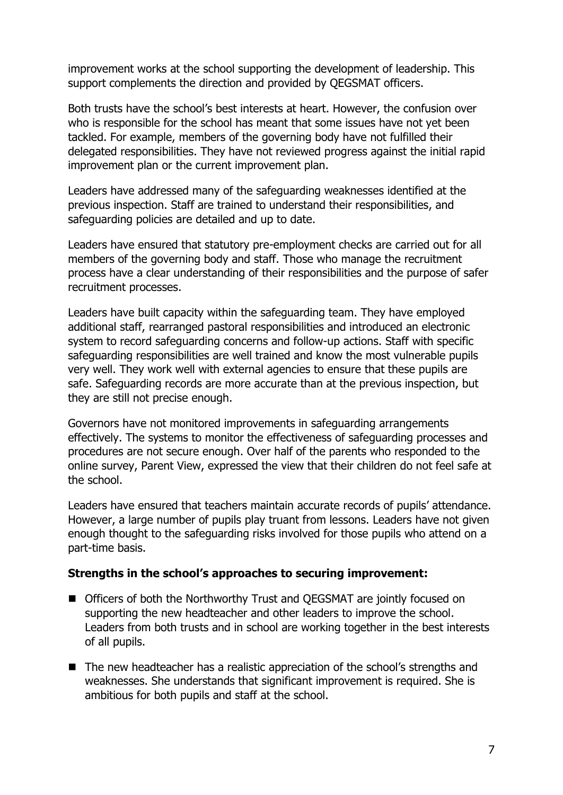improvement works at the school supporting the development of leadership. This support complements the direction and provided by QEGSMAT officers.

Both trusts have the school's best interests at heart. However, the confusion over who is responsible for the school has meant that some issues have not yet been tackled. For example, members of the governing body have not fulfilled their delegated responsibilities. They have not reviewed progress against the initial rapid improvement plan or the current improvement plan.

Leaders have addressed many of the safeguarding weaknesses identified at the previous inspection. Staff are trained to understand their responsibilities, and safeguarding policies are detailed and up to date.

Leaders have ensured that statutory pre-employment checks are carried out for all members of the governing body and staff. Those who manage the recruitment process have a clear understanding of their responsibilities and the purpose of safer recruitment processes.

Leaders have built capacity within the safeguarding team. They have employed additional staff, rearranged pastoral responsibilities and introduced an electronic system to record safeguarding concerns and follow-up actions. Staff with specific safeguarding responsibilities are well trained and know the most vulnerable pupils very well. They work well with external agencies to ensure that these pupils are safe. Safeguarding records are more accurate than at the previous inspection, but they are still not precise enough.

Governors have not monitored improvements in safeguarding arrangements effectively. The systems to monitor the effectiveness of safeguarding processes and procedures are not secure enough. Over half of the parents who responded to the online survey, Parent View, expressed the view that their children do not feel safe at the school.

Leaders have ensured that teachers maintain accurate records of pupils' attendance. However, a large number of pupils play truant from lessons. Leaders have not given enough thought to the safeguarding risks involved for those pupils who attend on a part-time basis.

#### **Strengths in the school's approaches to securing improvement:**

- Officers of both the Northworthy Trust and QEGSMAT are jointly focused on supporting the new headteacher and other leaders to improve the school. Leaders from both trusts and in school are working together in the best interests of all pupils.
- The new headteacher has a realistic appreciation of the school's strengths and weaknesses. She understands that significant improvement is required. She is ambitious for both pupils and staff at the school.